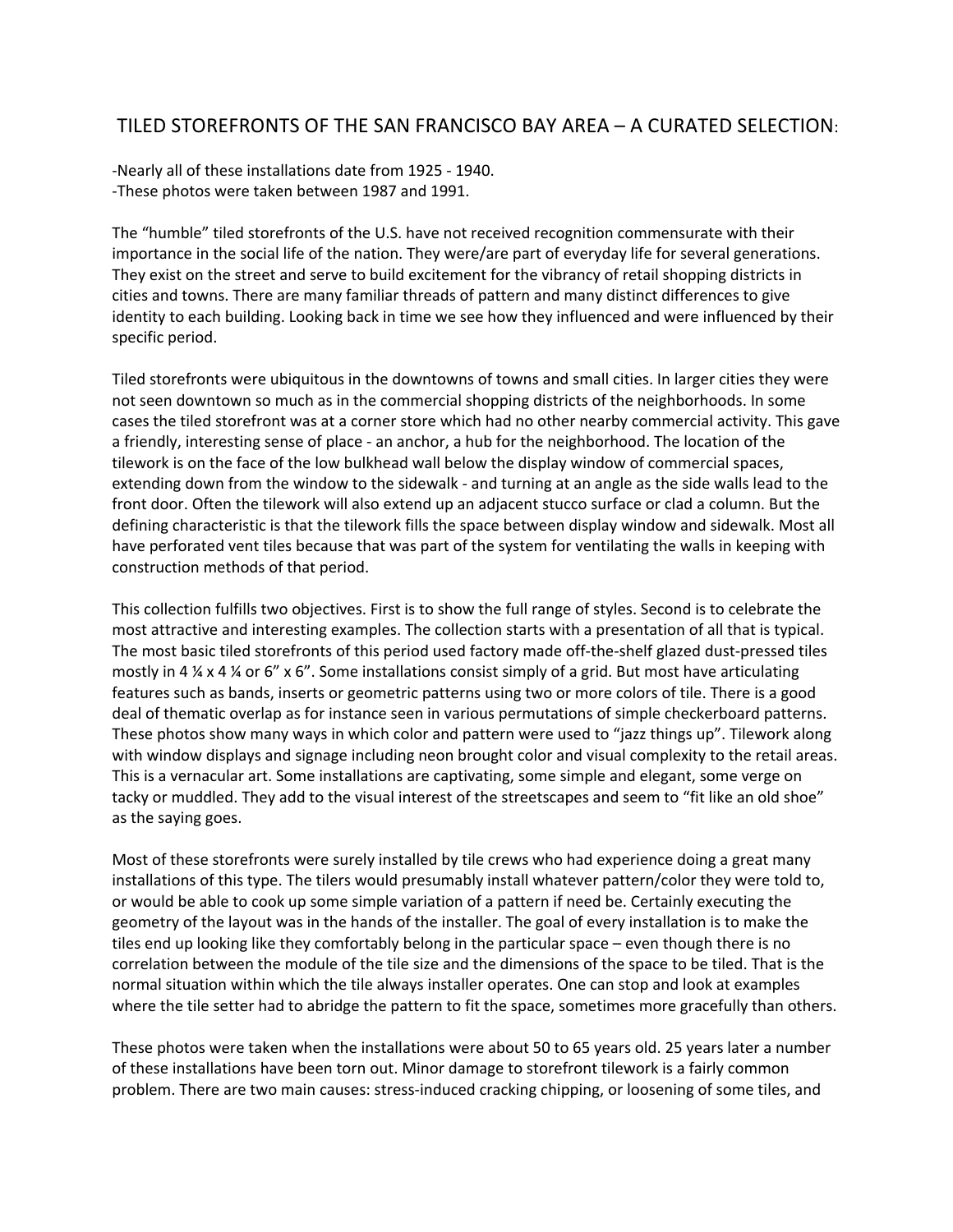## TILED STOREFRONTS OF THE SAN FRANCISCO BAY AREA – A CURATED SELECTION:

-Nearly all of these installations date from 1925 - 1940. -These photos were taken between 1987 and 1991.

The "humble" tiled storefronts of the U.S. have not received recognition commensurate with their importance in the social life of the nation. They were/are part of everyday life for several generations. They exist on the street and serve to build excitement for the vibrancy of retail shopping districts in cities and towns. There are many familiar threads of pattern and many distinct differences to give identity to each building. Looking back in time we see how they influenced and were influenced by their specific period.

Tiled storefronts were ubiquitous in the downtowns of towns and small cities. In larger cities they were not seen downtown so much as in the commercial shopping districts of the neighborhoods. In some cases the tiled storefront was at a corner store which had no other nearby commercial activity. This gave a friendly, interesting sense of place - an anchor, a hub for the neighborhood. The location of the tilework is on the face of the low bulkhead wall below the display window of commercial spaces, extending down from the window to the sidewalk - and turning at an angle as the side walls lead to the front door. Often the tilework will also extend up an adjacent stucco surface or clad a column. But the defining characteristic is that the tilework fills the space between display window and sidewalk. Most all have perforated vent tiles because that was part of the system for ventilating the walls in keeping with construction methods of that period.

This collection fulfills two objectives. First is to show the full range of styles. Second is to celebrate the most attractive and interesting examples. The collection starts with a presentation of all that is typical. The most basic tiled storefronts of this period used factory made off-the-shelf glazed dust-pressed tiles mostly in 4  $\frac{1}{4}$   $\frac{1}{4}$   $\frac{1}{4}$  or 6" x 6". Some installations consist simply of a grid. But most have articulating features such as bands, inserts or geometric patterns using two or more colors of tile. There is a good deal of thematic overlap as for instance seen in various permutations of simple checkerboard patterns. These photos show many ways in which color and pattern were used to "jazz things up". Tilework along with window displays and signage including neon brought color and visual complexity to the retail areas. This is a vernacular art. Some installations are captivating, some simple and elegant, some verge on tacky or muddled. They add to the visual interest of the streetscapes and seem to "fit like an old shoe" as the saying goes.

Most of these storefronts were surely installed by tile crews who had experience doing a great many installations of this type. The tilers would presumably install whatever pattern/color they were told to, or would be able to cook up some simple variation of a pattern if need be. Certainly executing the geometry of the layout was in the hands of the installer. The goal of every installation is to make the tiles end up looking like they comfortably belong in the particular space – even though there is no correlation between the module of the tile size and the dimensions of the space to be tiled. That is the normal situation within which the tile always installer operates. One can stop and look at examples where the tile setter had to abridge the pattern to fit the space, sometimes more gracefully than others.

These photos were taken when the installations were about 50 to 65 years old. 25 years later a number of these installations have been torn out. Minor damage to storefront tilework is a fairly common problem. There are two main causes: stress-induced cracking chipping, or loosening of some tiles, and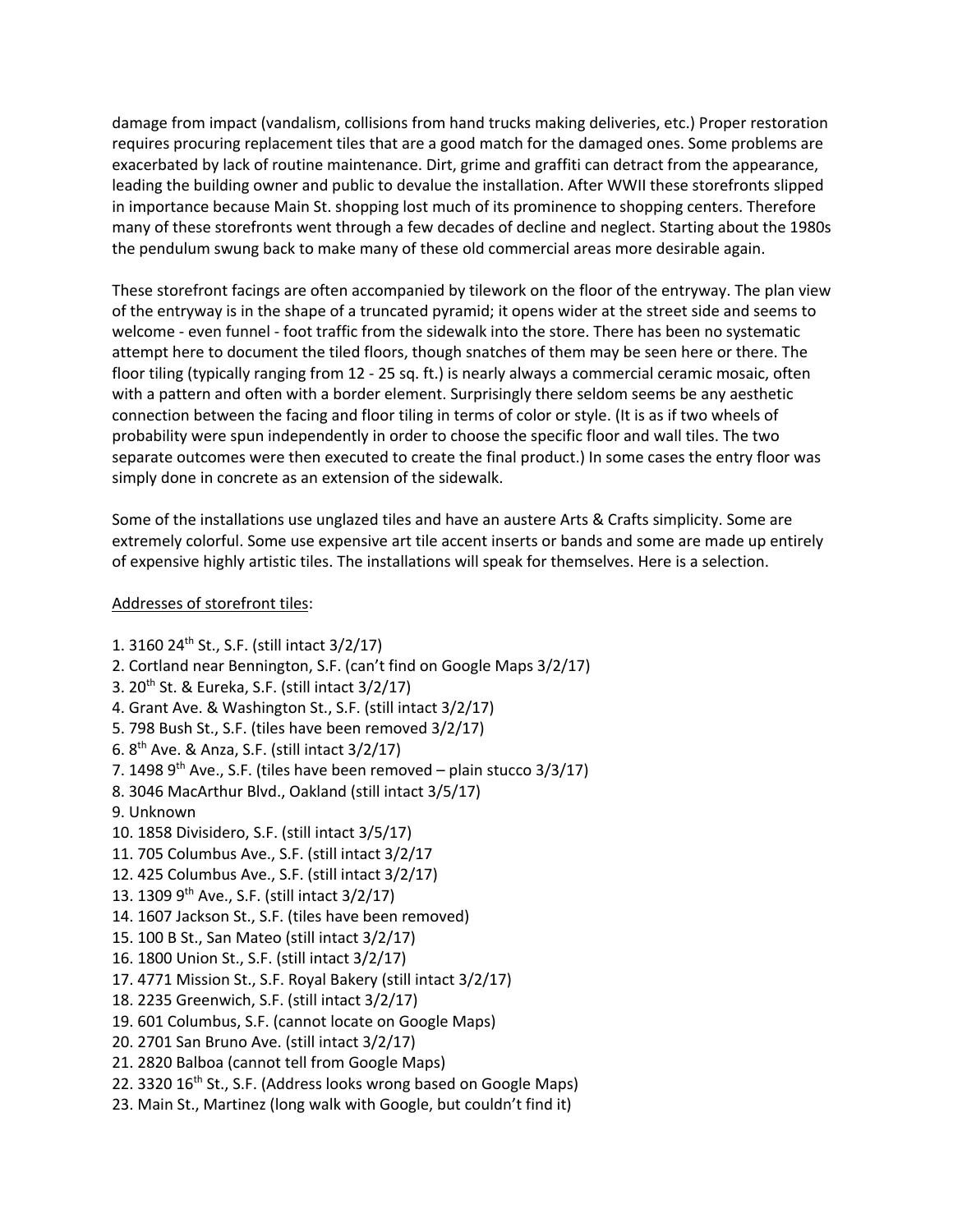damage from impact (vandalism, collisions from hand trucks making deliveries, etc.) Proper restoration requires procuring replacement tiles that are a good match for the damaged ones. Some problems are exacerbated by lack of routine maintenance. Dirt, grime and graffiti can detract from the appearance, leading the building owner and public to devalue the installation. After WWII these storefronts slipped in importance because Main St. shopping lost much of its prominence to shopping centers. Therefore many of these storefronts went through a few decades of decline and neglect. Starting about the 1980s the pendulum swung back to make many of these old commercial areas more desirable again.

These storefront facings are often accompanied by tilework on the floor of the entryway. The plan view of the entryway is in the shape of a truncated pyramid; it opens wider at the street side and seems to welcome - even funnel - foot traffic from the sidewalk into the store. There has been no systematic attempt here to document the tiled floors, though snatches of them may be seen here or there. The floor tiling (typically ranging from 12 - 25 sq. ft.) is nearly always a commercial ceramic mosaic, often with a pattern and often with a border element. Surprisingly there seldom seems be any aesthetic connection between the facing and floor tiling in terms of color or style. (It is as if two wheels of probability were spun independently in order to choose the specific floor and wall tiles. The two separate outcomes were then executed to create the final product.) In some cases the entry floor was simply done in concrete as an extension of the sidewalk.

Some of the installations use unglazed tiles and have an austere Arts & Crafts simplicity. Some are extremely colorful. Some use expensive art tile accent inserts or bands and some are made up entirely of expensive highly artistic tiles. The installations will speak for themselves. Here is a selection.

## Addresses of storefront tiles:

- 1. 3160 24th St., S.F. (still intact 3/2/17)
- 2. Cortland near Bennington, S.F. (can't find on Google Maps 3/2/17)
- 3.  $20^{th}$  St. & Eureka, S.F. (still intact  $3/2/17$ )
- 4. Grant Ave. & Washington St., S.F. (still intact 3/2/17)
- 5. 798 Bush St., S.F. (tiles have been removed 3/2/17)
- 6. 8th Ave. & Anza, S.F. (still intact 3/2/17)
- 7. 1498  $9<sup>th</sup>$  Ave., S.F. (tiles have been removed plain stucco 3/3/17)
- 8. 3046 MacArthur Blvd., Oakland (still intact 3/5/17)
- 9. Unknown
- 10. 1858 Divisidero, S.F. (still intact 3/5/17)
- 11. 705 Columbus Ave., S.F. (still intact 3/2/17
- 12. 425 Columbus Ave., S.F. (still intact 3/2/17)
- 13. 1309 9th Ave., S.F. (still intact 3/2/17)
- 14. 1607 Jackson St., S.F. (tiles have been removed)
- 15. 100 B St., San Mateo (still intact 3/2/17)
- 16. 1800 Union St., S.F. (still intact 3/2/17)
- 17. 4771 Mission St., S.F. Royal Bakery (still intact 3/2/17)
- 18. 2235 Greenwich, S.F. (still intact 3/2/17)
- 19. 601 Columbus, S.F. (cannot locate on Google Maps)
- 20. 2701 San Bruno Ave. (still intact 3/2/17)
- 21. 2820 Balboa (cannot tell from Google Maps)
- 22. 3320 16<sup>th</sup> St., S.F. (Address looks wrong based on Google Maps)
- 23. Main St., Martinez (long walk with Google, but couldn't find it)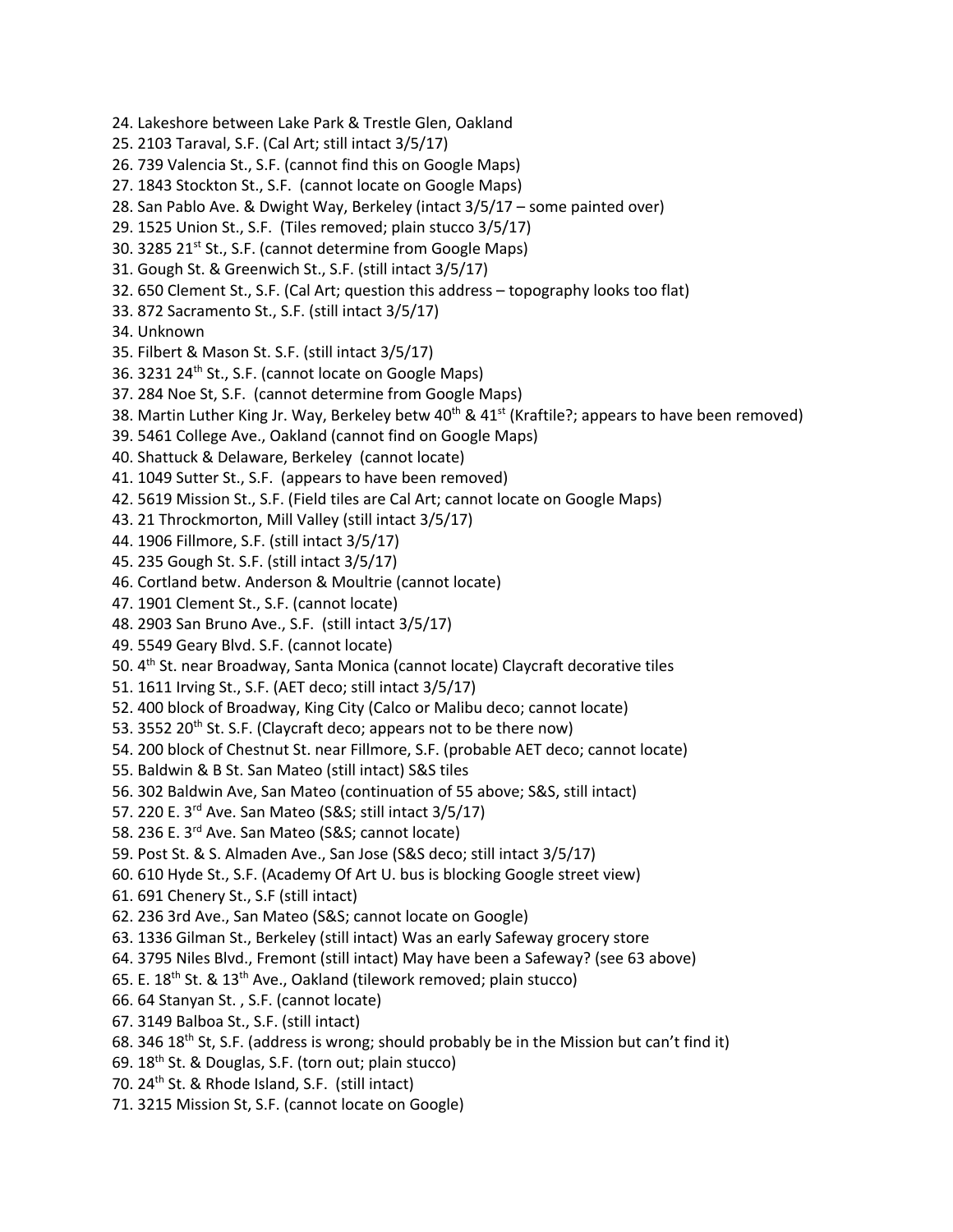- 24. Lakeshore between Lake Park & Trestle Glen, Oakland
- 25. 2103 Taraval, S.F. (Cal Art; still intact 3/5/17)
- 26. 739 Valencia St., S.F. (cannot find this on Google Maps)
- 27. 1843 Stockton St., S.F. (cannot locate on Google Maps)
- 28. San Pablo Ave. & Dwight Way, Berkeley (intact 3/5/17 some painted over)
- 29. 1525 Union St., S.F. (Tiles removed; plain stucco 3/5/17)
- 30. 3285 21<sup>st</sup> St., S.F. (cannot determine from Google Maps)
- 31. Gough St. & Greenwich St., S.F. (still intact 3/5/17)
- 32. 650 Clement St., S.F. (Cal Art; question this address topography looks too flat)
- 33. 872 Sacramento St., S.F. (still intact 3/5/17)
- 34. Unknown
- 35. Filbert & Mason St. S.F. (still intact 3/5/17)
- 36. 3231 24<sup>th</sup> St., S.F. (cannot locate on Google Maps)
- 37. 284 Noe St, S.F. (cannot determine from Google Maps)
- 38. Martin Luther King Jr. Way, Berkeley betw 40<sup>th</sup> & 41<sup>st</sup> (Kraftile?; appears to have been removed)
- 39. 5461 College Ave., Oakland (cannot find on Google Maps)
- 40. Shattuck & Delaware, Berkeley (cannot locate)
- 41. 1049 Sutter St., S.F. (appears to have been removed)
- 42. 5619 Mission St., S.F. (Field tiles are Cal Art; cannot locate on Google Maps)
- 43. 21 Throckmorton, Mill Valley (still intact 3/5/17)
- 44. 1906 Fillmore, S.F. (still intact 3/5/17)
- 45. 235 Gough St. S.F. (still intact 3/5/17)
- 46. Cortland betw. Anderson & Moultrie (cannot locate)
- 47. 1901 Clement St., S.F. (cannot locate)
- 48. 2903 San Bruno Ave., S.F. (still intact 3/5/17)
- 49. 5549 Geary Blvd. S.F. (cannot locate)
- 50. 4th St. near Broadway, Santa Monica (cannot locate) Claycraft decorative tiles
- 51. 1611 Irving St., S.F. (AET deco; still intact 3/5/17)
- 52. 400 block of Broadway, King City (Calco or Malibu deco; cannot locate)
- 53. 3552 20<sup>th</sup> St. S.F. (Claycraft deco; appears not to be there now)
- 54. 200 block of Chestnut St. near Fillmore, S.F. (probable AET deco; cannot locate)
- 55. Baldwin & B St. San Mateo (still intact) S&S tiles
- 56. 302 Baldwin Ave, San Mateo (continuation of 55 above; S&S, still intact)
- 57. 220 E. 3rd Ave. San Mateo (S&S; still intact 3/5/17)
- 58. 236 E. 3rd Ave. San Mateo (S&S; cannot locate)
- 59. Post St. & S. Almaden Ave., San Jose (S&S deco; still intact 3/5/17)
- 60. 610 Hyde St., S.F. (Academy Of Art U. bus is blocking Google street view)
- 61. 691 Chenery St., S.F (still intact)
- 62. 236 3rd Ave., San Mateo (S&S; cannot locate on Google)
- 63. 1336 Gilman St., Berkeley (still intact) Was an early Safeway grocery store
- 64. 3795 Niles Blvd., Fremont (still intact) May have been a Safeway? (see 63 above)
- 65. E. 18<sup>th</sup> St. & 13<sup>th</sup> Ave., Oakland (tilework removed; plain stucco)
- 66. 64 Stanyan St. , S.F. (cannot locate)
- 67. 3149 Balboa St., S.F. (still intact)
- 68. 346 18<sup>th</sup> St, S.F. (address is wrong; should probably be in the Mission but can't find it)
- 69. 18th St. & Douglas, S.F. (torn out; plain stucco)
- 70. 24<sup>th</sup> St. & Rhode Island, S.F. (still intact)
- 71. 3215 Mission St, S.F. (cannot locate on Google)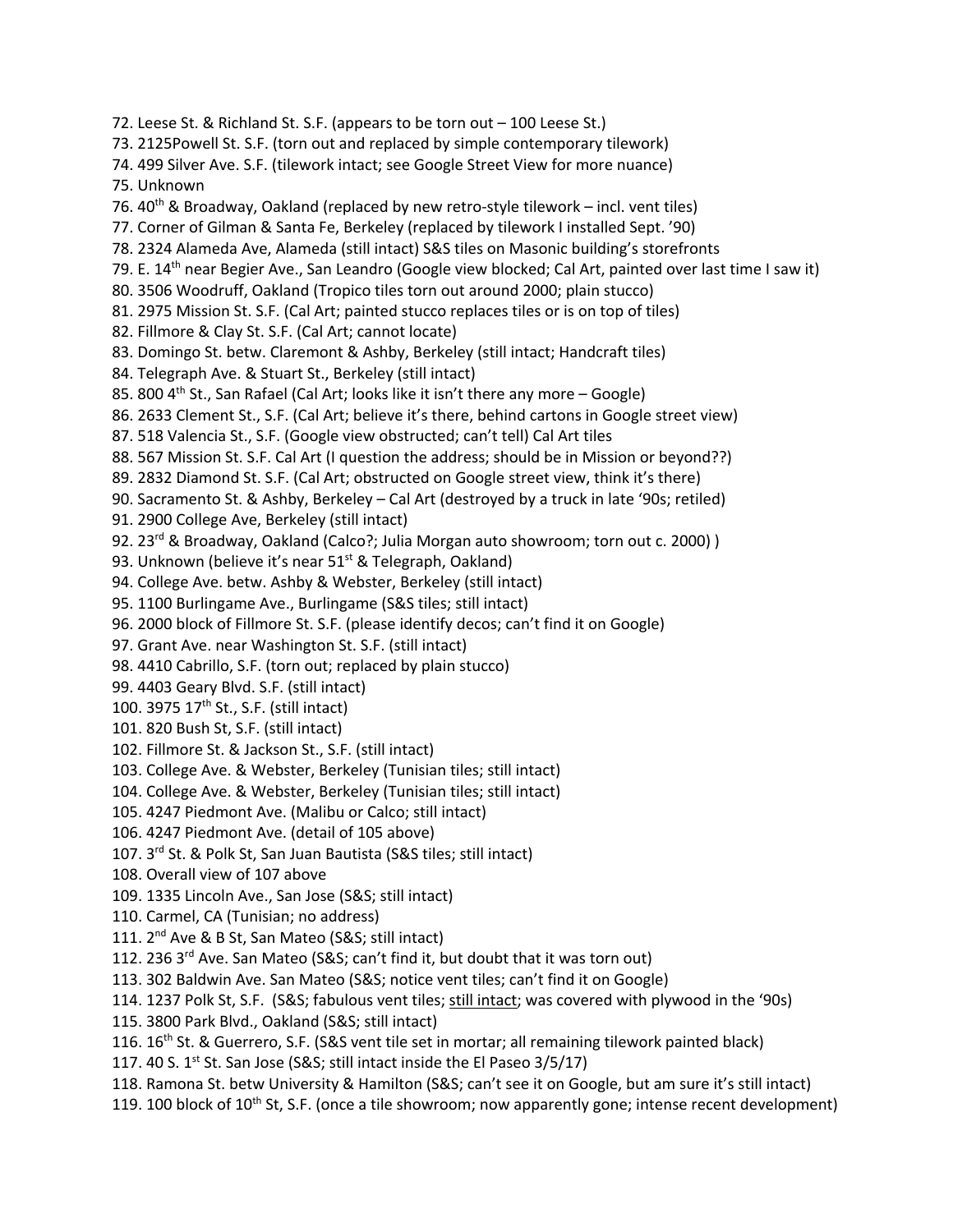- 72. Leese St. & Richland St. S.F. (appears to be torn out 100 Leese St.) 73. 2125Powell St. S.F. (torn out and replaced by simple contemporary tilework) 74. 499 Silver Ave. S.F. (tilework intact; see Google Street View for more nuance) 75. Unknown 76.  $40^{th}$  & Broadway, Oakland (replaced by new retro-style tilework – incl. vent tiles) 77. Corner of Gilman & Santa Fe, Berkeley (replaced by tilework I installed Sept. '90) 78. 2324 Alameda Ave, Alameda (still intact) S&S tiles on Masonic building's storefronts 79. E. 14<sup>th</sup> near Begier Ave., San Leandro (Google view blocked; Cal Art, painted over last time I saw it) 80. 3506 Woodruff, Oakland (Tropico tiles torn out around 2000; plain stucco) 81. 2975 Mission St. S.F. (Cal Art; painted stucco replaces tiles or is on top of tiles) 82. Fillmore & Clay St. S.F. (Cal Art; cannot locate) 83. Domingo St. betw. Claremont & Ashby, Berkeley (still intact; Handcraft tiles) 84. Telegraph Ave. & Stuart St., Berkeley (still intact) 85. 800  $4<sup>th</sup>$  St., San Rafael (Cal Art; looks like it isn't there any more – Google) 86. 2633 Clement St., S.F. (Cal Art; believe it's there, behind cartons in Google street view) 87. 518 Valencia St., S.F. (Google view obstructed; can't tell) Cal Art tiles 88. 567 Mission St. S.F. Cal Art (I question the address; should be in Mission or beyond??) 89. 2832 Diamond St. S.F. (Cal Art; obstructed on Google street view, think it's there) 90. Sacramento St. & Ashby, Berkeley – Cal Art (destroyed by a truck in late '90s; retiled) 91. 2900 College Ave, Berkeley (still intact) 92. 23<sup>rd</sup> & Broadway, Oakland (Calco?; Julia Morgan auto showroom; torn out c. 2000)) 93. Unknown (believe it's near 51<sup>st</sup> & Telegraph, Oakland) 94. College Ave. betw. Ashby & Webster, Berkeley (still intact) 95. 1100 Burlingame Ave., Burlingame (S&S tiles; still intact) 96. 2000 block of Fillmore St. S.F. (please identify decos; can't find it on Google) 97. Grant Ave. near Washington St. S.F. (still intact) 98. 4410 Cabrillo, S.F. (torn out; replaced by plain stucco) 99. 4403 Geary Blvd. S.F. (still intact) 100. 3975 17<sup>th</sup> St., S.F. (still intact) 101. 820 Bush St, S.F. (still intact) 102. Fillmore St. & Jackson St., S.F. (still intact) 103. College Ave. & Webster, Berkeley (Tunisian tiles; still intact) 104. College Ave. & Webster, Berkeley (Tunisian tiles; still intact) 105. 4247 Piedmont Ave. (Malibu or Calco; still intact) 106. 4247 Piedmont Ave. (detail of 105 above) 107. 3rd St. & Polk St, San Juan Bautista (S&S tiles; still intact) 108. Overall view of 107 above 109. 1335 Lincoln Ave., San Jose (S&S; still intact) 110. Carmel, CA (Tunisian; no address) 111. 2<sup>nd</sup> Ave & B St, San Mateo (S&S; still intact) 112. 236 3<sup>rd</sup> Ave. San Mateo (S&S; can't find it, but doubt that it was torn out) 113. 302 Baldwin Ave. San Mateo (S&S; notice vent tiles; can't find it on Google) 114. 1237 Polk St, S.F. (S&S; fabulous vent tiles; still intact; was covered with plywood in the '90s) 115. 3800 Park Blvd., Oakland (S&S; still intact) 116. 16<sup>th</sup> St. & Guerrero, S.F. (S&S vent tile set in mortar; all remaining tilework painted black)
- 117. 40 S.  $1^{st}$  St. San Jose (S&S; still intact inside the El Paseo 3/5/17)
- 118. Ramona St. betw University & Hamilton (S&S; can't see it on Google, but am sure it's still intact)

119. 100 block of  $10^{th}$  St, S.F. (once a tile showroom; now apparently gone; intense recent development)